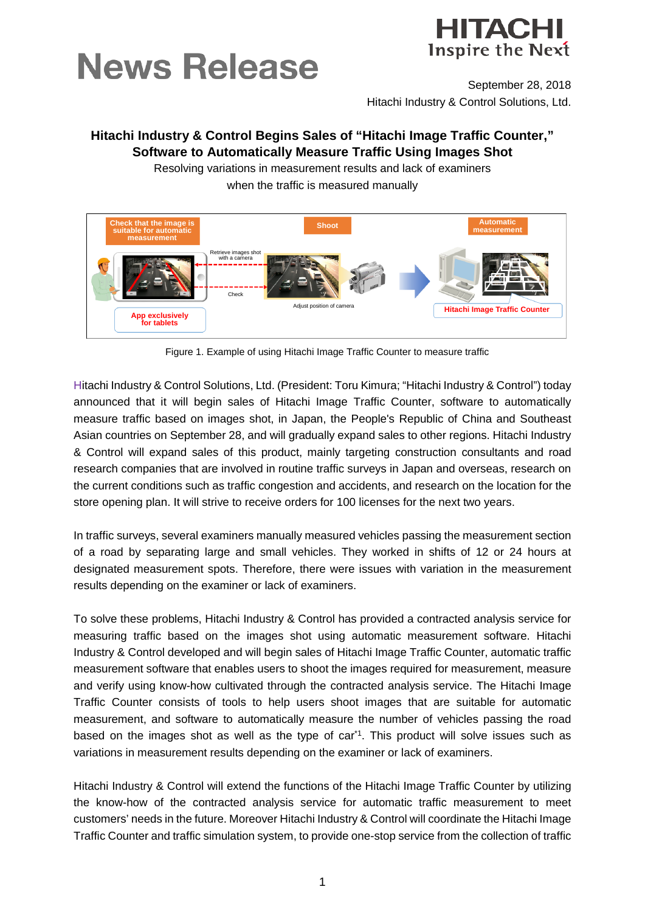# **News Release**



September 28, 2018 Hitachi Industry & Control Solutions, Ltd.

# **Hitachi Industry & Control Begins Sales of "Hitachi Image Traffic Counter," Software to Automatically Measure Traffic Using Images Shot**

Resolving variations in measurement results and lack of examiners when the traffic is measured manually



Figure 1. Example of using Hitachi Image Traffic Counter to measure traffic

Hitachi Industry & Control Solutions, Ltd. (President: Toru Kimura; "Hitachi Industry & Control") today announced that it will begin sales of Hitachi Image Traffic Counter, software to automatically measure traffic based on images shot, in Japan, the People's Republic of China and Southeast Asian countries on September 28, and will gradually expand sales to other regions. Hitachi Industry & Control will expand sales of this product, mainly targeting construction consultants and road research companies that are involved in routine traffic surveys in Japan and overseas, research on the current conditions such as traffic congestion and accidents, and research on the location for the store opening plan. It will strive to receive orders for 100 licenses for the next two years.

In traffic surveys, several examiners manually measured vehicles passing the measurement section of a road by separating large and small vehicles. They worked in shifts of 12 or 24 hours at designated measurement spots. Therefore, there were issues with variation in the measurement results depending on the examiner or lack of examiners.

To solve these problems, Hitachi Industry & Control has provided a contracted analysis service for measuring traffic based on the images shot using automatic measurement software. Hitachi Industry & Control developed and will begin sales of Hitachi Image Traffic Counter, automatic traffic measurement software that enables users to shoot the images required for measurement, measure and verify using know-how cultivated through the contracted analysis service. The Hitachi Image Traffic Counter consists of tools to help users shoot images that are suitable for automatic measurement, and software to automatically measure the number of vehicles passing the road based on the images shot as well as the type of car<sup>\*1</sup>. This product will solve issues such as variations in measurement results depending on the examiner or lack of examiners.

Hitachi Industry & Control will extend the functions of the Hitachi Image Traffic Counter by utilizing the know-how of the contracted analysis service for automatic traffic measurement to meet customers' needs in the future. Moreover Hitachi Industry & Control will coordinate the Hitachi Image Traffic Counter and traffic simulation system, to provide one-stop service from the collection of traffic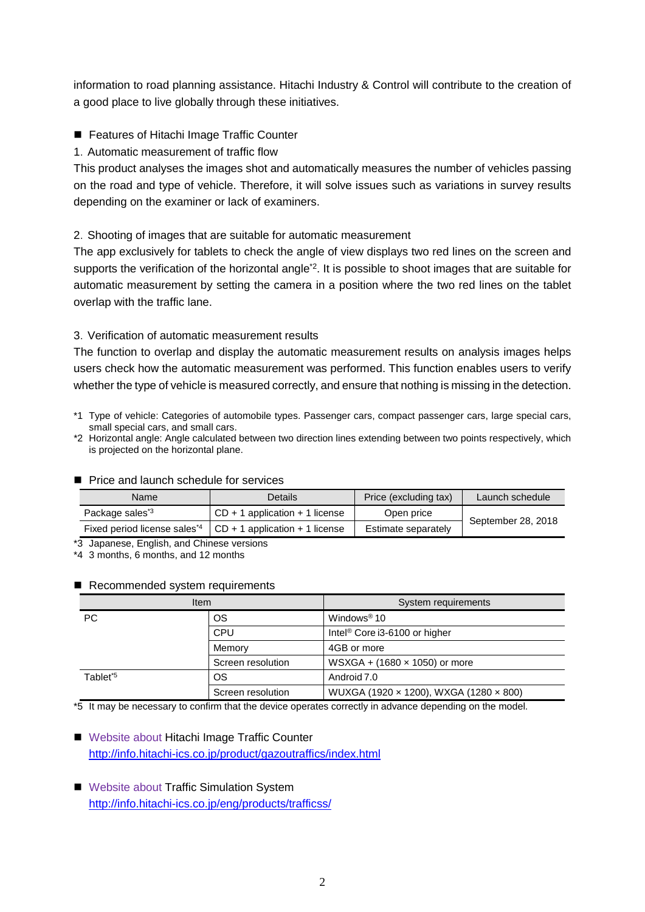information to road planning assistance. Hitachi Industry & Control will contribute to the creation of a good place to live globally through these initiatives.

■ Features of Hitachi Image Traffic Counter

1.Automatic measurement of traffic flow

This product analyses the images shot and automatically measures the number of vehicles passing on the road and type of vehicle. Therefore, it will solve issues such as variations in survey results depending on the examiner or lack of examiners.

## 2.Shooting of images that are suitable for automatic measurement

The app exclusively for tablets to check the angle of view displays two red lines on the screen and supports the verification of the horizontal angle<sup>\*2</sup>. It is possible to shoot images that are suitable for automatic measurement by setting the camera in a position where the two red lines on the tablet overlap with the traffic lane.

### 3.Verification of automatic measurement results

The function to overlap and display the automatic measurement results on analysis images helps users check how the automatic measurement was performed. This function enables users to verify whether the type of vehicle is measured correctly, and ensure that nothing is missing in the detection.

- \*1 Type of vehicle: Categories of automobile types. Passenger cars, compact passenger cars, large special cars, small special cars, and small cars.
- \*2 Horizontal angle: Angle calculated between two direction lines extending between two points respectively, which is projected on the horizontal plane.

#### **Price and launch schedule for services**

| Name                                     | <b>Details</b>                     | Price (excluding tax) | Launch schedule    |
|------------------------------------------|------------------------------------|-----------------------|--------------------|
| Package sales <sup>*3</sup>              | $CD + 1$ application $+ 1$ license | Open price            | September 28, 2018 |
| Fixed period license sales <sup>*4</sup> | $CD + 1$ application + 1 license   | Estimate separately   |                    |

\*3 Japanese, English, and Chinese versions

\*4 3 months, 6 months, and 12 months

#### Recommended system requirements

| Item                 |                   | System requirements                       |  |
|----------------------|-------------------|-------------------------------------------|--|
| РC                   | ОS                | Windows <sup>®</sup> $10$                 |  |
|                      | <b>CPU</b>        | Intel <sup>®</sup> Core i3-6100 or higher |  |
|                      | Memory            | 4GB or more                               |  |
|                      | Screen resolution | WSXGA + $(1680 \times 1050)$ or more      |  |
| Tablet <sup>*5</sup> | ΟS                | Android 7.0                               |  |
|                      | Screen resolution | WUXGA (1920 x 1200), WXGA (1280 x 800)    |  |

\*5 It may be necessary to confirm that the device operates correctly in advance depending on the model.

■ Website about Hitachi Image Traffic Counter <http://info.hitachi-ics.co.jp/product/gazoutraffics/index.html>

■ Website about Traffic Simulation System http://info.hitachi-ics.co.jp/eng/products/trafficss/